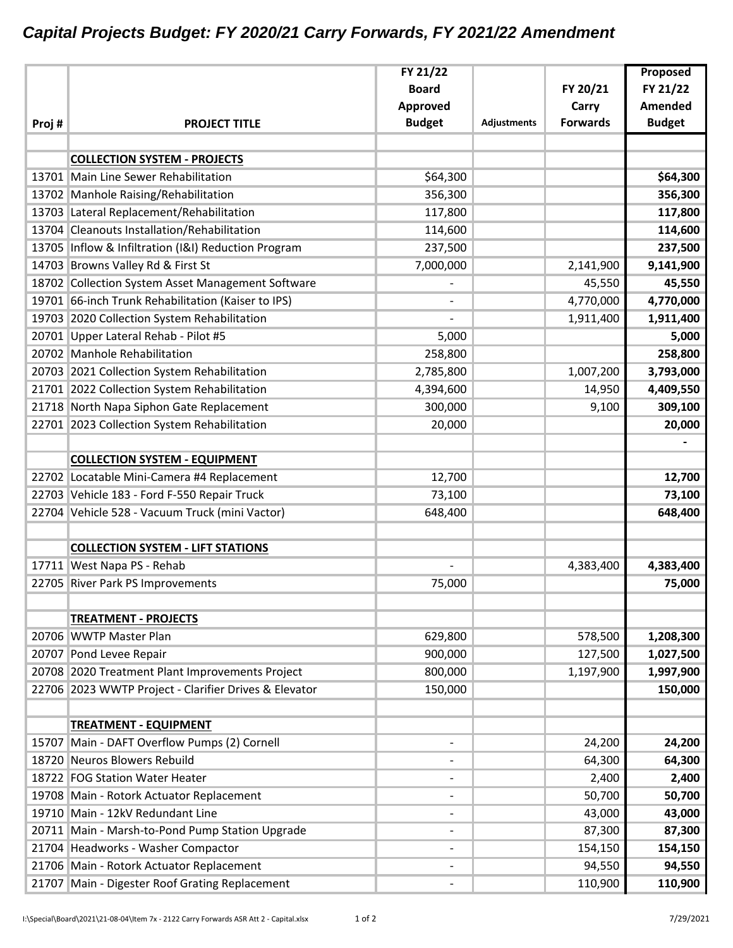## *Capital Projects Budget: FY 2020/21 Carry Forwards, FY 2021/22 Amendment*

|       |                                                       | FY 21/22                     |                    |                 | Proposed       |
|-------|-------------------------------------------------------|------------------------------|--------------------|-----------------|----------------|
|       |                                                       | <b>Board</b>                 |                    | FY 20/21        | FY 21/22       |
|       |                                                       | Approved                     |                    | Carry           | <b>Amended</b> |
| Proj# | <b>PROJECT TITLE</b>                                  | <b>Budget</b>                | <b>Adjustments</b> | <b>Forwards</b> | <b>Budget</b>  |
|       |                                                       |                              |                    |                 |                |
|       | <b>COLLECTION SYSTEM - PROJECTS</b>                   |                              |                    |                 |                |
|       | 13701 Main Line Sewer Rehabilitation                  | \$64,300                     |                    |                 | \$64,300       |
|       | 13702 Manhole Raising/Rehabilitation                  | 356,300                      |                    |                 | 356,300        |
|       | 13703 Lateral Replacement/Rehabilitation              | 117,800                      |                    |                 | 117,800        |
|       | 13704 Cleanouts Installation/Rehabilitation           | 114,600                      |                    |                 | 114,600        |
|       | 13705 Inflow & Infiltration (I&I) Reduction Program   | 237,500                      |                    |                 | 237,500        |
|       | 14703 Browns Valley Rd & First St                     | 7,000,000                    |                    | 2,141,900       | 9,141,900      |
|       | 18702 Collection System Asset Management Software     |                              |                    | 45,550          | 45,550         |
|       | 19701 66-inch Trunk Rehabilitation (Kaiser to IPS)    | $\qquad \qquad -$            |                    | 4,770,000       | 4,770,000      |
|       | 19703 2020 Collection System Rehabilitation           |                              |                    | 1,911,400       | 1,911,400      |
|       | 20701 Upper Lateral Rehab - Pilot #5                  | 5,000                        |                    |                 | 5,000          |
|       | 20702 Manhole Rehabilitation                          | 258,800                      |                    |                 | 258,800        |
|       | 20703 2021 Collection System Rehabilitation           | 2,785,800                    |                    | 1,007,200       | 3,793,000      |
|       | 21701 2022 Collection System Rehabilitation           | 4,394,600                    |                    | 14,950          | 4,409,550      |
|       | 21718 North Napa Siphon Gate Replacement              | 300,000                      |                    | 9,100           | 309,100        |
|       | 22701 2023 Collection System Rehabilitation           | 20,000                       |                    |                 | 20,000         |
|       |                                                       |                              |                    |                 |                |
|       | <b>COLLECTION SYSTEM - EQUIPMENT</b>                  |                              |                    |                 |                |
|       | 22702 Locatable Mini-Camera #4 Replacement            | 12,700                       |                    |                 | 12,700         |
|       | 22703 Vehicle 183 - Ford F-550 Repair Truck           | 73,100                       |                    |                 | 73,100         |
|       | 22704 Vehicle 528 - Vacuum Truck (mini Vactor)        | 648,400                      |                    |                 | 648,400        |
|       |                                                       |                              |                    |                 |                |
|       | <b>COLLECTION SYSTEM - LIFT STATIONS</b>              |                              |                    |                 |                |
|       | 17711 West Napa PS - Rehab                            |                              |                    | 4,383,400       | 4,383,400      |
|       | 22705 River Park PS Improvements                      | 75,000                       |                    |                 | 75,000         |
|       |                                                       |                              |                    |                 |                |
|       | <b>TREATMENT - PROJECTS</b>                           |                              |                    |                 |                |
|       | 20706 WWTP Master Plan                                | 629,800                      |                    | 578,500         | 1,208,300      |
|       | 20707 Pond Levee Repair                               | 900,000                      |                    | 127,500         | 1,027,500      |
|       | 20708 2020 Treatment Plant Improvements Project       | 800,000                      |                    | 1,197,900       | 1,997,900      |
|       | 22706 2023 WWTP Project - Clarifier Drives & Elevator | 150,000                      |                    |                 | 150,000        |
|       |                                                       |                              |                    |                 |                |
|       | <b>TREATMENT - EQUIPMENT</b>                          |                              |                    |                 |                |
|       | 15707 Main - DAFT Overflow Pumps (2) Cornell          |                              |                    | 24,200          | 24,200         |
|       | 18720 Neuros Blowers Rebuild                          | $\overline{\phantom{a}}$     |                    | 64,300          | 64,300         |
|       | 18722 FOG Station Water Heater                        | $\blacksquare$               |                    | 2,400           | 2,400          |
|       | 19708 Main - Rotork Actuator Replacement              |                              |                    | 50,700          | 50,700         |
|       | 19710 Main - 12kV Redundant Line                      |                              |                    | 43,000          | 43,000         |
|       | 20711 Main - Marsh-to-Pond Pump Station Upgrade       | $\overline{\phantom{a}}$     |                    | 87,300          | 87,300         |
|       | 21704 Headworks - Washer Compactor                    | $\blacksquare$               |                    | 154,150         | 154,150        |
|       | 21706 Main - Rotork Actuator Replacement              | $\qquad \qquad \blacksquare$ |                    | 94,550          | 94,550         |
|       | 21707 Main - Digester Roof Grating Replacement        |                              |                    | 110,900         | 110,900        |